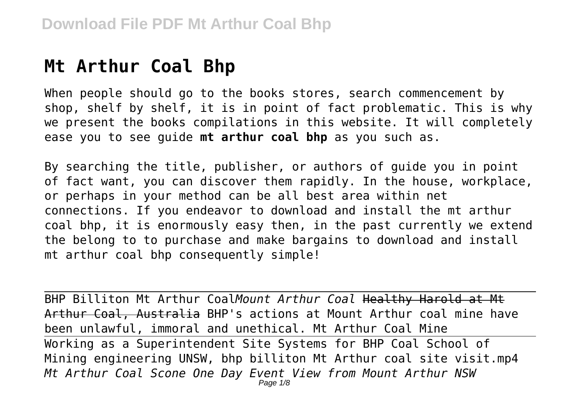# **Mt Arthur Coal Bhp**

When people should go to the books stores, search commencement by shop, shelf by shelf, it is in point of fact problematic. This is why we present the books compilations in this website. It will completely ease you to see guide **mt arthur coal bhp** as you such as.

By searching the title, publisher, or authors of guide you in point of fact want, you can discover them rapidly. In the house, workplace, or perhaps in your method can be all best area within net connections. If you endeavor to download and install the mt arthur coal bhp, it is enormously easy then, in the past currently we extend the belong to to purchase and make bargains to download and install mt arthur coal bhp consequently simple!

BHP Billiton Mt Arthur Coal*Mount Arthur Coal* Healthy Harold at Mt Arthur Coal, Australia BHP's actions at Mount Arthur coal mine have been unlawful, immoral and unethical. Mt Arthur Coal Mine Working as a Superintendent Site Systems for BHP Coal School of Mining engineering UNSW, bhp billiton Mt Arthur coal site visit.mp4 *Mt Arthur Coal Scone One Day Event View from Mount Arthur NSW* Page  $1/8$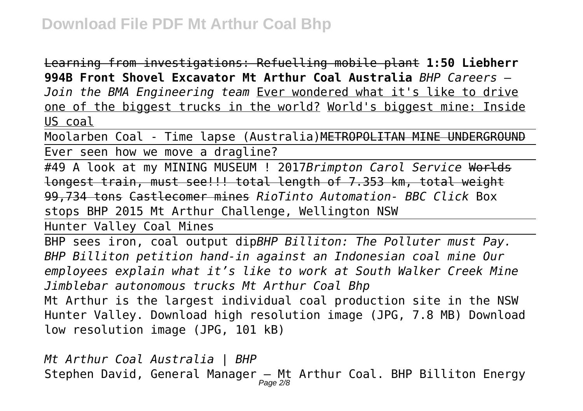Learning from investigations: Refuelling mobile plant **1:50 Liebherr 994B Front Shovel Excavator Mt Arthur Coal Australia** *BHP Careers – Join the BMA Engineering team* Ever wondered what it's like to drive one of the biggest trucks in the world? World's biggest mine: Inside US coal

Moolarben Coal - Time lapse (Australia)METROPOLITAN MINE UNDERGROUND Ever seen how we move a dragline?

#49 A look at my MINING MUSEUM ! 2017*Brimpton Carol Service* Worlds longest train, must see!!! total length of 7.353 km, total weight 99,734 tons Castlecomer mines *RioTinto Automation- BBC Click* Box stops BHP 2015 Mt Arthur Challenge, Wellington NSW

Hunter Valley Coal Mines

BHP sees iron, coal output dip*BHP Billiton: The Polluter must Pay. BHP Billiton petition hand-in against an Indonesian coal mine Our employees explain what it's like to work at South Walker Creek Mine Jimblebar autonomous trucks Mt Arthur Coal Bhp* Mt Arthur is the largest individual coal production site in the NSW Hunter Valley. Download high resolution image (JPG, 7.8 MB) Download low resolution image (JPG, 101 kB)

*Mt Arthur Coal Australia | BHP* Stephen David, General Manager — Mt Arthur Coal. BHP Billiton Energy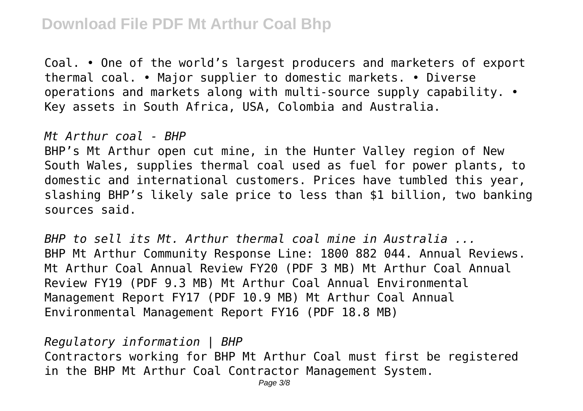Coal. • One of the world's largest producers and marketers of export thermal coal. • Major supplier to domestic markets. • Diverse operations and markets along with multi-source supply capability. • Key assets in South Africa, USA, Colombia and Australia.

*Mt Arthur coal - BHP*

BHP's Mt Arthur open cut mine, in the Hunter Valley region of New South Wales, supplies thermal coal used as fuel for power plants, to domestic and international customers. Prices have tumbled this year, slashing BHP's likely sale price to less than \$1 billion, two banking sources said.

*BHP to sell its Mt. Arthur thermal coal mine in Australia ...* BHP Mt Arthur Community Response Line: 1800 882 044. Annual Reviews. Mt Arthur Coal Annual Review FY20 (PDF 3 MB) Mt Arthur Coal Annual Review FY19 (PDF 9.3 MB) Mt Arthur Coal Annual Environmental Management Report FY17 (PDF 10.9 MB) Mt Arthur Coal Annual Environmental Management Report FY16 (PDF 18.8 MB)

*Regulatory information | BHP* Contractors working for BHP Mt Arthur Coal must first be registered in the BHP Mt Arthur Coal Contractor Management System.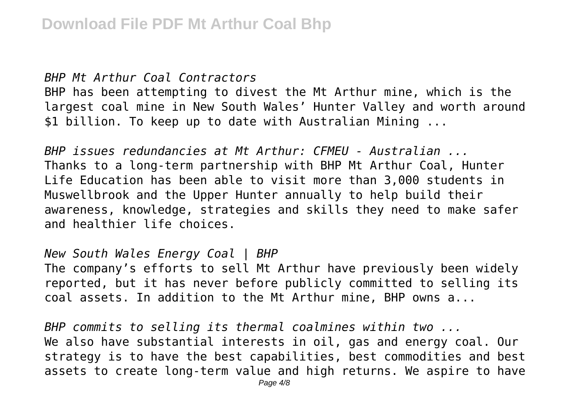#### *BHP Mt Arthur Coal Contractors*

BHP has been attempting to divest the Mt Arthur mine, which is the largest coal mine in New South Wales' Hunter Valley and worth around \$1 billion. To keep up to date with Australian Mining ...

*BHP issues redundancies at Mt Arthur: CFMEU - Australian ...* Thanks to a long-term partnership with BHP Mt Arthur Coal, Hunter Life Education has been able to visit more than 3,000 students in Muswellbrook and the Upper Hunter annually to help build their awareness, knowledge, strategies and skills they need to make safer and healthier life choices.

#### *New South Wales Energy Coal | BHP*

The company's efforts to sell Mt Arthur have previously been widely reported, but it has never before publicly committed to selling its coal assets. In addition to the Mt Arthur mine, BHP owns a...

*BHP commits to selling its thermal coalmines within two ...* We also have substantial interests in oil, gas and energy coal. Our strategy is to have the best capabilities, best commodities and best assets to create long-term value and high returns. We aspire to have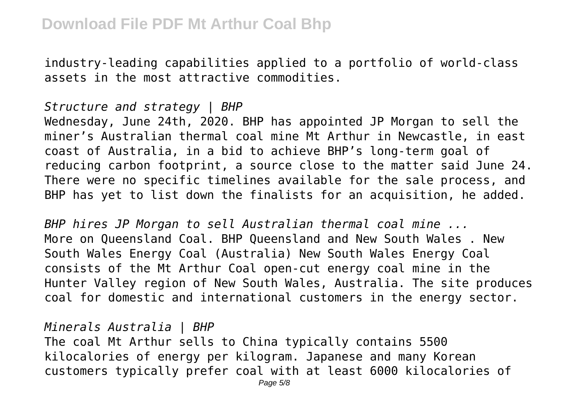industry-leading capabilities applied to a portfolio of world-class assets in the most attractive commodities.

*Structure and strategy | BHP*

Wednesday, June 24th, 2020. BHP has appointed JP Morgan to sell the miner's Australian thermal coal mine Mt Arthur in Newcastle, in east coast of Australia, in a bid to achieve BHP's long-term goal of reducing carbon footprint, a source close to the matter said June 24. There were no specific timelines available for the sale process, and BHP has yet to list down the finalists for an acquisition, he added.

*BHP hires JP Morgan to sell Australian thermal coal mine ...* More on Queensland Coal. BHP Queensland and New South Wales . New South Wales Energy Coal (Australia) New South Wales Energy Coal consists of the Mt Arthur Coal open-cut energy coal mine in the Hunter Valley region of New South Wales, Australia. The site produces coal for domestic and international customers in the energy sector.

*Minerals Australia | BHP* The coal Mt Arthur sells to China typically contains 5500 kilocalories of energy per kilogram. Japanese and many Korean customers typically prefer coal with at least 6000 kilocalories of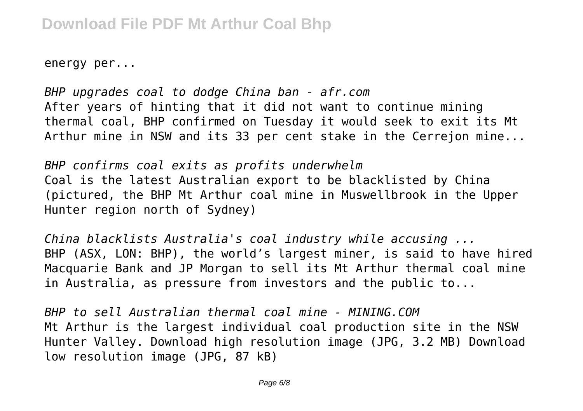energy per...

*BHP upgrades coal to dodge China ban - afr.com* After years of hinting that it did not want to continue mining thermal coal, BHP confirmed on Tuesday it would seek to exit its Mt Arthur mine in NSW and its 33 per cent stake in the Cerrejon mine...

*BHP confirms coal exits as profits underwhelm* Coal is the latest Australian export to be blacklisted by China (pictured, the BHP Mt Arthur coal mine in Muswellbrook in the Upper Hunter region north of Sydney)

*China blacklists Australia's coal industry while accusing ...* BHP (ASX, LON: BHP), the world's largest miner, is said to have hired Macquarie Bank and JP Morgan to sell its Mt Arthur thermal coal mine in Australia, as pressure from investors and the public to...

*BHP to sell Australian thermal coal mine - MINING.COM* Mt Arthur is the largest individual coal production site in the NSW Hunter Valley. Download high resolution image (JPG, 3.2 MB) Download low resolution image (JPG, 87 kB)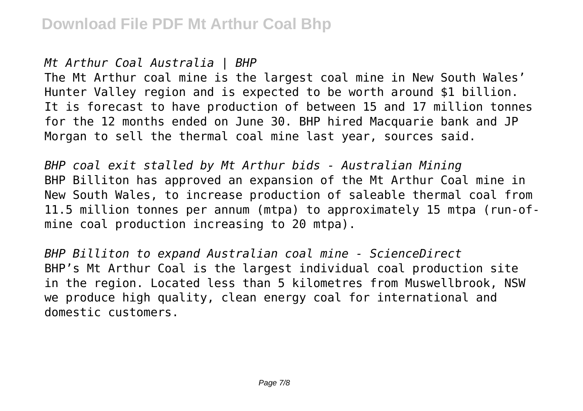### *Mt Arthur Coal Australia | BHP*

The Mt Arthur coal mine is the largest coal mine in New South Wales' Hunter Valley region and is expected to be worth around \$1 billion. It is forecast to have production of between 15 and 17 million tonnes for the 12 months ended on June 30. BHP hired Macquarie bank and JP Morgan to sell the thermal coal mine last year, sources said.

*BHP coal exit stalled by Mt Arthur bids - Australian Mining* BHP Billiton has approved an expansion of the Mt Arthur Coal mine in New South Wales, to increase production of saleable thermal coal from 11.5 million tonnes per annum (mtpa) to approximately 15 mtpa (run-ofmine coal production increasing to 20 mtpa).

*BHP Billiton to expand Australian coal mine - ScienceDirect* BHP's Mt Arthur Coal is the largest individual coal production site in the region. Located less than 5 kilometres from Muswellbrook, NSW we produce high quality, clean energy coal for international and domestic customers.